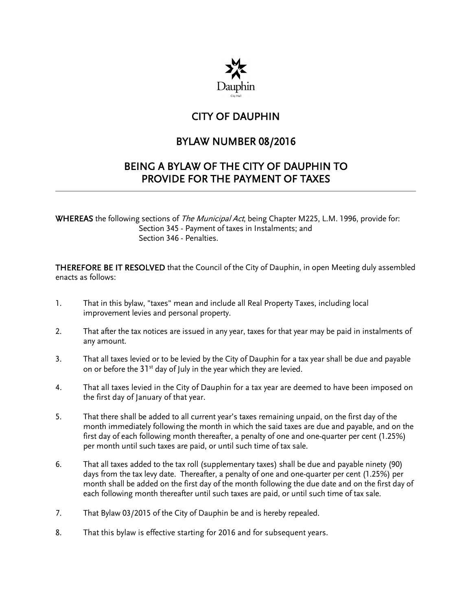

## CITY OF DAUPHIN

## BYLAW NUMBER 08/2016

## BEING A BYLAW OF THE CITY OF DAUPHIN TO PROVIDE FOR THE PAYMENT OF TAXES

WHEREAS the following sections of The Municipal Act, being Chapter M225, L.M. 1996, provide for: Section 345 - Payment of taxes in Instalments; and Section 346 - Penalties.

THEREFORE BE IT RESOLVED that the Council of the City of Dauphin, in open Meeting duly assembled enacts as follows:

- 1. That in this bylaw, "taxes" mean and include all Real Property Taxes, including local improvement levies and personal property.
- 2. That after the tax notices are issued in any year, taxes for that year may be paid in instalments of any amount.
- 3. That all taxes levied or to be levied by the City of Dauphin for a tax year shall be due and payable on or before the  $31<sup>st</sup>$  day of July in the year which they are levied.
- 4. That all taxes levied in the City of Dauphin for a tax year are deemed to have been imposed on the first day of January of that year.
- 5. That there shall be added to all current year's taxes remaining unpaid, on the first day of the month immediately following the month in which the said taxes are due and payable, and on the first day of each following month thereafter, a penalty of one and one-quarter per cent (1.25%) per month until such taxes are paid, or until such time of tax sale.
- 6. That all taxes added to the tax roll (supplementary taxes) shall be due and payable ninety (90) days from the tax levy date. Thereafter, a penalty of one and one-quarter per cent (1.25%) per month shall be added on the first day of the month following the due date and on the first day of each following month thereafter until such taxes are paid, or until such time of tax sale.
- 7. That Bylaw 03/2015 of the City of Dauphin be and is hereby repealed.
- 8. That this bylaw is effective starting for 2016 and for subsequent years.